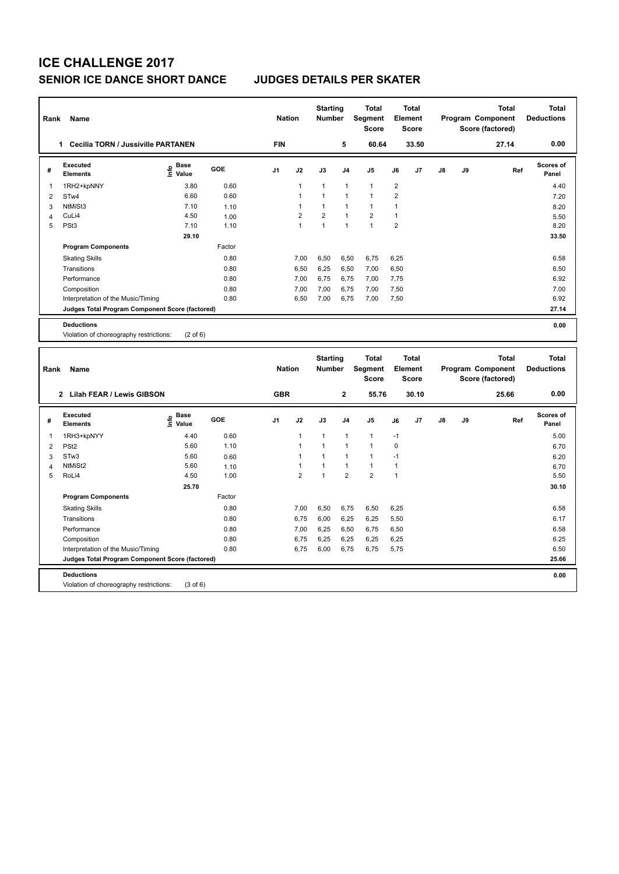# **ICE CHALLENGE 2017 SENIOR ICE DANCE SHORT DANCE JUDGES DETAILS PER SKATER**

| Rank           | Name                                            |                                           |        | <b>Nation</b>  |                | <b>Starting</b><br><b>Number</b> |                | <b>Total</b><br>Segment<br><b>Score</b> |                | <b>Total</b><br>Element<br><b>Score</b> |    |    | <b>Total</b><br>Program Component<br>Score (factored) | <b>Total</b><br><b>Deductions</b> |
|----------------|-------------------------------------------------|-------------------------------------------|--------|----------------|----------------|----------------------------------|----------------|-----------------------------------------|----------------|-----------------------------------------|----|----|-------------------------------------------------------|-----------------------------------|
|                | 1 Cecilia TORN / Jussiville PARTANEN            |                                           |        | <b>FIN</b>     |                |                                  | 5              | 60.64                                   |                | 33.50                                   |    |    | 27.14                                                 | 0.00                              |
| #              | <b>Executed</b><br><b>Elements</b>              | $\frac{6}{5}$ Base<br>$\frac{1}{5}$ Value | GOE    | J <sub>1</sub> | J2             | J3                               | J <sub>4</sub> | J5                                      | J6             | J7                                      | J8 | J9 | Ref                                                   | Scores of<br>Panel                |
| 1              | 1RH2+kpNNY                                      | 3.80                                      | 0.60   |                | $\mathbf{1}$   | $\mathbf{1}$                     | $\overline{1}$ | $\mathbf{1}$                            | $\overline{2}$ |                                         |    |    |                                                       | 4.40                              |
| $\overline{2}$ | STw4                                            | 6.60                                      | 0.60   |                | $\mathbf{1}$   | 1                                | $\overline{1}$ | $\mathbf{1}$                            | $\overline{2}$ |                                         |    |    |                                                       | 7.20                              |
| 3              | NtMiSt3                                         | 7.10                                      | 1.10   |                | $\mathbf{1}$   | $\mathbf{1}$                     | $\overline{1}$ | $\mathbf{1}$                            | 1              |                                         |    |    |                                                       | 8.20                              |
| $\overline{4}$ | CuLi4                                           | 4.50                                      | 1.00   |                | $\overline{2}$ | $\overline{\mathbf{c}}$          | $\overline{1}$ | $\overline{2}$                          | $\mathbf{1}$   |                                         |    |    |                                                       | 5.50                              |
| 5              | PSt <sub>3</sub>                                | 7.10                                      | 1.10   |                | $\mathbf{1}$   | $\mathbf{1}$                     | $\overline{1}$ | $\overline{1}$                          | $\overline{2}$ |                                         |    |    |                                                       | 8.20                              |
|                |                                                 | 29.10                                     |        |                |                |                                  |                |                                         |                |                                         |    |    |                                                       | 33.50                             |
|                | <b>Program Components</b>                       |                                           | Factor |                |                |                                  |                |                                         |                |                                         |    |    |                                                       |                                   |
|                | <b>Skating Skills</b>                           |                                           | 0.80   |                | 7,00           | 6,50                             | 6,50           | 6,75                                    | 6,25           |                                         |    |    |                                                       | 6.58                              |
|                | Transitions                                     |                                           | 0.80   |                | 6,50           | 6,25                             | 6,50           | 7,00                                    | 6,50           |                                         |    |    |                                                       | 6.50                              |
|                | Performance                                     |                                           | 0.80   |                | 7,00           | 6,75                             | 6,75           | 7,00                                    | 7,75           |                                         |    |    |                                                       | 6.92                              |
|                | Composition                                     |                                           | 0.80   |                | 7,00           | 7,00                             | 6,75           | 7,00                                    | 7,50           |                                         |    |    |                                                       | 7.00                              |
|                | Interpretation of the Music/Timing              |                                           | 0.80   |                | 6,50           | 7,00                             | 6,75           | 7,00                                    | 7,50           |                                         |    |    |                                                       | 6.92                              |
|                | Judges Total Program Component Score (factored) |                                           |        |                |                |                                  |                |                                         |                |                                         |    |    |                                                       | 27.14                             |
|                | <b>Deductions</b>                               |                                           |        |                |                |                                  |                |                                         |                |                                         |    |    |                                                       | 0.00                              |
|                | Violation of choreography restrictions:         | $(2 \text{ of } 6)$                       |        |                |                |                                  |                |                                         |                |                                         |    |    |                                                       |                                   |
|                |                                                 |                                           |        |                |                |                                  |                |                                         |                |                                         |    |    |                                                       |                                   |
|                |                                                 |                                           |        |                |                |                                  |                |                                         |                |                                         |    |    |                                                       |                                   |
|                |                                                 |                                           |        |                |                | <b>Starting</b>                  |                | <b>Total</b>                            |                | <b>Total</b>                            |    |    | <b>Total</b>                                          | <b>Total</b>                      |
| Rank           | Name                                            |                                           |        | <b>Nation</b>  |                | <b>Number</b>                    |                | Segment<br><b>Score</b>                 |                | Element<br><b>Score</b>                 |    |    | Program Component                                     | <b>Deductions</b>                 |
|                |                                                 |                                           |        | <b>GBR</b>     |                |                                  | $\overline{2}$ | 55.76                                   |                | 30.10                                   |    |    | Score (factored)<br>25.66                             | 0.00                              |
|                | 2 Lilah FEAR / Lewis GIBSON                     |                                           |        |                |                |                                  |                |                                         |                |                                         |    |    |                                                       |                                   |
| #              | <b>Executed</b><br><b>Elements</b>              | <b>Base</b><br>۴ů<br>Value                | GOE    | J <sub>1</sub> | J2             | J3                               | J4             | J5                                      | J6             | J7                                      | J8 | J9 | Ref                                                   | Scores of<br>Panel                |
| 1              | 1RH3+kpNYY                                      | 4.40                                      | 0.60   |                | $\mathbf{1}$   | $\mathbf{1}$                     | $\overline{1}$ | $\mathbf{1}$                            | $-1$           |                                         |    |    |                                                       | 5.00                              |
| $\overline{2}$ | PS <sub>t2</sub>                                | 5.60                                      | 1.10   |                | $\mathbf{1}$   | 1                                | $\overline{1}$ | $\mathbf{1}$                            | $\Omega$       |                                         |    |    |                                                       | 6.70                              |
| 3              | STw3                                            | 5.60                                      | 0.60   |                | $\mathbf{1}$   | $\mathbf{1}$                     | $\overline{1}$ | $\mathbf{1}$                            | $-1$           |                                         |    |    |                                                       | 6.20                              |
| $\overline{4}$ | NtMiSt2                                         | 5.60                                      | 1.10   |                | $\mathbf{1}$   | $\mathbf{1}$                     | $\overline{1}$ | $\mathbf{1}$                            | $\mathbf{1}$   |                                         |    |    |                                                       | 6.70                              |
| 5              | RoLi4                                           | 4.50                                      | 1.00   |                | $\overline{2}$ | $\mathbf{1}$                     | $\overline{2}$ | $\overline{2}$                          | $\mathbf{1}$   |                                         |    |    |                                                       | 5.50                              |
|                |                                                 | 25.70                                     |        |                |                |                                  |                |                                         |                |                                         |    |    |                                                       | 30.10                             |
|                | <b>Program Components</b>                       |                                           | Factor |                |                |                                  |                |                                         |                |                                         |    |    |                                                       |                                   |
|                | <b>Skating Skills</b>                           |                                           | 0.80   |                | 7,00           | 6,50                             | 6,75           | 6,50                                    | 6,25           |                                         |    |    |                                                       | 6.58                              |
|                | Transitions                                     |                                           | 0.80   |                | 6,75           | 6,00                             | 6,25           | 6,25                                    | 5,50           |                                         |    |    |                                                       | 6.17                              |
|                | Performance                                     |                                           | 0.80   |                | 7,00           | 6,25                             | 6,50           | 6,75                                    | 6,50           |                                         |    |    |                                                       | 6.58                              |
|                | Composition                                     |                                           | 0.80   |                | 6,75           | 6,25                             | 6,25           | 6,25                                    | 6,25           |                                         |    |    |                                                       | 6.25                              |
|                | Interpretation of the Music/Timing              |                                           | 0.80   |                | 6,75           | 6,00                             | 6,75           | 6,75                                    | 5,75           |                                         |    |    |                                                       | 6.50                              |
|                | Judges Total Program Component Score (factored) |                                           |        |                |                |                                  |                |                                         |                |                                         |    |    |                                                       | 25.66                             |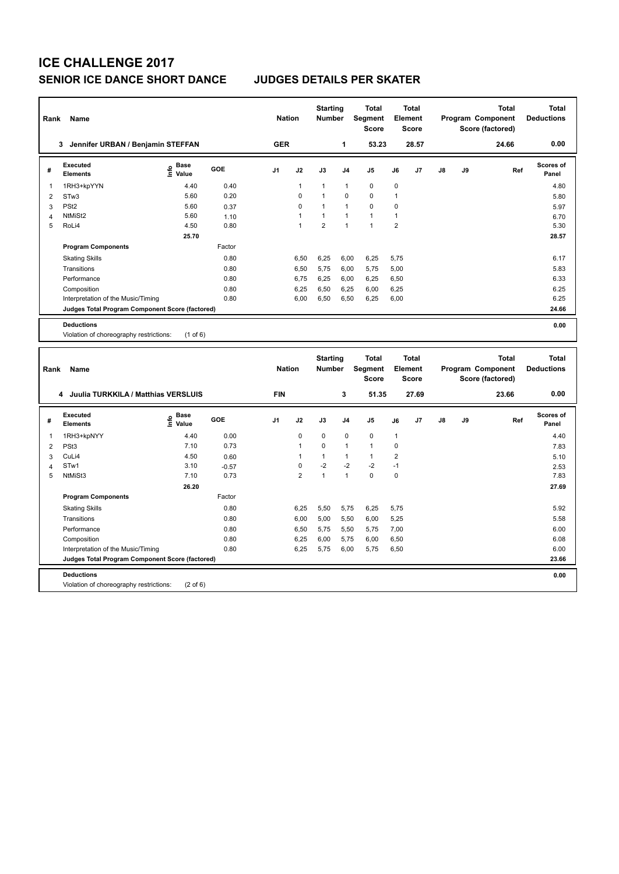# **ICE CHALLENGE 2017 SENIOR ICE DANCE SHORT DANCE JUDGES DETAILS PER SKATER**

| Rank           | Name                                                                 |                   |                 | <b>Nation</b>  |                | <b>Starting</b><br><b>Number</b> |                | <b>Total</b><br>Segment<br><b>Score</b> |                | <b>Total</b><br>Element<br><b>Score</b> |    |    | <b>Total</b><br>Program Component<br>Score (factored) | <b>Total</b><br><b>Deductions</b> |
|----------------|----------------------------------------------------------------------|-------------------|-----------------|----------------|----------------|----------------------------------|----------------|-----------------------------------------|----------------|-----------------------------------------|----|----|-------------------------------------------------------|-----------------------------------|
|                | 3 Jennifer URBAN / Benjamin STEFFAN                                  |                   |                 | <b>GER</b>     |                |                                  | 1              | 53.23                                   |                | 28.57                                   |    |    | 24.66                                                 | 0.00                              |
| #              | <b>Executed</b><br><b>Elements</b>                                   | e Base<br>E Value | GOE             | J1             | J2             | J3                               | J4             | J5                                      | J6             | J7                                      | J8 | J9 | Ref                                                   | Scores of<br>Panel                |
| 1              | 1RH3+kpYYN                                                           | 4.40              | 0.40            |                | $\mathbf{1}$   | 1                                | $\mathbf{1}$   | $\mathbf 0$                             | 0              |                                         |    |    |                                                       | 4.80                              |
| $\overline{2}$ | STw3                                                                 | 5.60              | 0.20            |                | 0              | 1                                | $\mathbf 0$    | $\mathbf 0$                             | $\mathbf{1}$   |                                         |    |    |                                                       | 5.80                              |
| 3              | PS <sub>t2</sub>                                                     | 5.60              | 0.37            |                | $\mathbf 0$    | 1                                | $\overline{1}$ | $\mathbf 0$                             | 0              |                                         |    |    |                                                       | 5.97                              |
| $\overline{4}$ | NtMiSt2                                                              | 5.60              | 1.10            |                | $\mathbf{1}$   | 1                                | $\overline{1}$ | $\mathbf{1}$                            | $\mathbf{1}$   |                                         |    |    |                                                       | 6.70                              |
| 5              | RoLi4                                                                | 4.50              | 0.80            |                | $\mathbf{1}$   | $\overline{2}$                   | $\overline{1}$ | $\mathbf{1}$                            | $\overline{2}$ |                                         |    |    |                                                       | 5.30                              |
|                |                                                                      | 25.70             |                 |                |                |                                  |                |                                         |                |                                         |    |    |                                                       | 28.57                             |
|                | <b>Program Components</b>                                            |                   | Factor          |                |                |                                  |                |                                         |                |                                         |    |    |                                                       |                                   |
|                | <b>Skating Skills</b>                                                |                   | 0.80            |                | 6,50           | 6,25                             | 6,00           | 6,25                                    | 5,75           |                                         |    |    |                                                       | 6.17                              |
|                | Transitions                                                          |                   | 0.80            |                | 6,50           | 5,75                             | 6,00           | 5,75                                    | 5,00           |                                         |    |    |                                                       | 5.83                              |
|                | Performance                                                          |                   | 0.80            |                | 6,75           | 6,25                             | 6,00           | 6,25                                    | 6,50           |                                         |    |    |                                                       | 6.33                              |
|                | Composition                                                          |                   | 0.80            |                | 6,25           | 6,50                             | 6,25           | 6,00                                    | 6,25           |                                         |    |    |                                                       | 6.25                              |
|                | Interpretation of the Music/Timing                                   |                   | 0.80            |                | 6,00           | 6,50                             | 6,50           | 6,25                                    | 6,00           |                                         |    |    |                                                       | 6.25                              |
|                | Judges Total Program Component Score (factored)                      |                   |                 |                |                |                                  |                |                                         |                |                                         |    |    |                                                       | 24.66                             |
|                | <b>Deductions</b>                                                    |                   |                 |                |                |                                  |                |                                         |                |                                         |    |    |                                                       | 0.00                              |
|                | Violation of choreography restrictions:                              | $(1$ of 6)        |                 |                |                |                                  |                |                                         |                |                                         |    |    |                                                       |                                   |
|                |                                                                      |                   |                 |                |                |                                  |                |                                         |                |                                         |    |    |                                                       |                                   |
|                |                                                                      |                   |                 |                |                |                                  |                |                                         |                |                                         |    |    |                                                       |                                   |
|                |                                                                      |                   |                 |                |                |                                  |                |                                         |                |                                         |    |    |                                                       |                                   |
| Rank           | <b>Name</b>                                                          |                   |                 | <b>Nation</b>  |                | <b>Starting</b><br>Number        |                | <b>Total</b><br>Segment                 |                | <b>Total</b><br>Element                 |    |    | <b>Total</b><br>Program Component                     | <b>Total</b><br><b>Deductions</b> |
|                |                                                                      |                   |                 |                |                |                                  |                | <b>Score</b>                            |                | Score                                   |    |    | Score (factored)                                      |                                   |
|                |                                                                      |                   |                 |                |                |                                  |                |                                         |                |                                         |    |    |                                                       |                                   |
|                | 4 Juulia TURKKILA / Matthias VERSLUIS                                |                   |                 | <b>FIN</b>     |                |                                  | 3              | 51.35                                   |                | 27.69                                   |    |    | 23.66                                                 | 0.00                              |
| #              | <b>Executed</b><br><b>Elements</b>                                   | $rac{e}{E}$ Base  | GOE             | J <sub>1</sub> | J2             | J3                               | J <sub>4</sub> | J5                                      | J6             | J7                                      | J8 | J9 | Ref                                                   | Scores of<br>Panel                |
| 1              |                                                                      | 4.40              | 0.00            |                | $\mathbf 0$    | $\mathbf 0$                      | $\mathbf 0$    | $\mathbf 0$                             | $\mathbf{1}$   |                                         |    |    |                                                       | 4.40                              |
| $\overline{2}$ | 1RH3+kpNYY<br>PSt <sub>3</sub>                                       | 7.10              | 0.73            |                | $\mathbf{1}$   | 0                                | $\overline{1}$ | $\mathbf{1}$                            | $\mathsf 0$    |                                         |    |    |                                                       | 7.83                              |
| 3              | CuLi4                                                                | 4.50              |                 |                | $\mathbf{1}$   | 1                                | $\mathbf{1}$   | $\mathbf{1}$                            | $\overline{2}$ |                                         |    |    |                                                       |                                   |
| 4              | STw1                                                                 | 3.10              | 0.60<br>$-0.57$ |                | $\pmb{0}$      | $-2$                             | $-2$           | $-2$                                    | $-1$           |                                         |    |    |                                                       | 5.10<br>2.53                      |
| 5              | NtMiSt3                                                              | 7.10              | 0.73            |                | $\overline{2}$ | $\mathbf{1}$                     | $\mathbf{1}$   | $\mathbf 0$                             | $\mathbf 0$    |                                         |    |    |                                                       | 7.83                              |
|                |                                                                      | 26.20             |                 |                |                |                                  |                |                                         |                |                                         |    |    |                                                       | 27.69                             |
|                | <b>Program Components</b>                                            |                   | Factor          |                |                |                                  |                |                                         |                |                                         |    |    |                                                       |                                   |
|                |                                                                      |                   |                 |                |                |                                  |                |                                         |                |                                         |    |    |                                                       | 5.92                              |
|                | <b>Skating Skills</b><br>Transitions                                 |                   | 0.80<br>0.80    |                | 6,25           | 5,50                             | 5,75           | 6,25                                    | 5,75           |                                         |    |    |                                                       | 5.58                              |
|                | Performance                                                          |                   | 0.80            |                | 6,00<br>6,50   | 5,00<br>5,75                     | 5,50<br>5,50   | 6,00<br>5,75                            | 5,25           |                                         |    |    |                                                       | 6.00                              |
|                |                                                                      |                   |                 |                |                |                                  |                |                                         | 7,00           |                                         |    |    |                                                       |                                   |
|                | Composition                                                          |                   | 0.80<br>0.80    |                | 6,25           | 6,00                             | 5,75           | 6,00                                    | 6,50           |                                         |    |    |                                                       | 6.08<br>6.00                      |
|                | Interpretation of the Music/Timing                                   |                   |                 |                | 6,25           | 5,75                             | 6,00           | 5,75                                    | 6,50           |                                         |    |    |                                                       | 23.66                             |
|                | Judges Total Program Component Score (factored)<br><b>Deductions</b> |                   |                 |                |                |                                  |                |                                         |                |                                         |    |    |                                                       | 0.00                              |